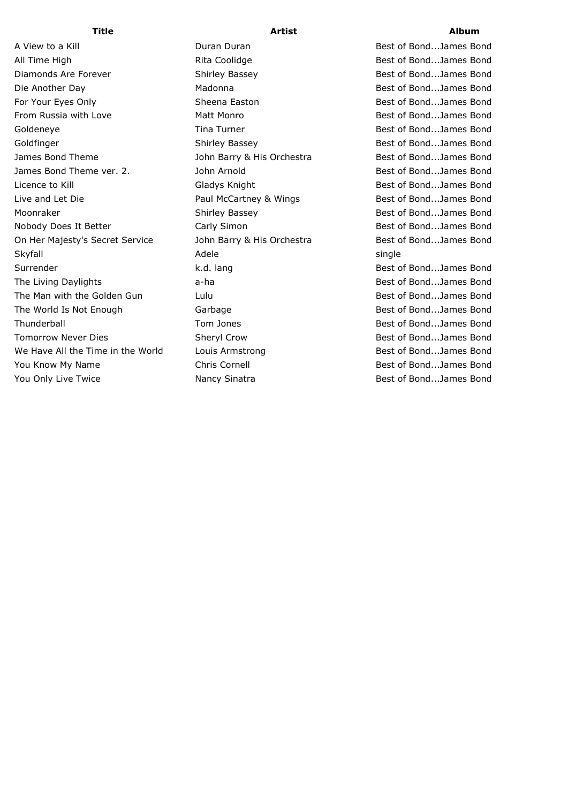A View to a Kill **Example 20** Suran Duran Best of Bond...Dames Bond All Time High **Rita Coolidge Rita Coolidge** Best of Bond...James Bond Diamonds Are Forever **Shirley Bassey** Best of Bond...James Bond Die Another Day **Madonna** Madonna Best of Bond...James Bond For Your Eyes Only **Sheena Easton** Best of Bond...James Bond Best of Bond...James Bond From Russia with Love **Matt Monro** Matt Monro **Best of Bond...James Bond** Goldeneye **Tina Turner** Tina Turner Best of Bond...James Bond Goldfinger Shirley Bassey Coldfinger Bond...James Bond James Bond Theme Theme John Barry & His Orchestra Best of Bond...James Bond James Bond Theme ver. 2. Sohn Arnold Best of Bond...James Bond Licence to Kill **Exercise School** Gladys Knight **Best of Bond...James Bond** Live and Let Die **Paul McCartney & Wings** Best of Bond...James Bond Moonraker **Shirley Bassey Accompany Best of Bond...James Bond** Bond Best of Bond...James Bond Nobody Does It Better **Carly Simon** Carly Simon Best of Bond...James Bond On Her Majesty's Secret Service and John Barry & His Orchestra Best of Bond...James Bond Skyfall and the single single single single single single single Surrender **Example 2** is the k.d. lang by the Best of Bond...James Bond The Living Daylights **a-ha** Best of Bond...James Bond a-ha Best of Bond...James Bond The Man with the Golden Gun Lulu Lulu Best of Bond...James Bond The World Is Not Enough Garbage Garbage Best of Bond...James Bond Thunderball Tom Jones and the Best of Bond...James Bond Tomorrow Never Dies The Sheryl Crow Sherver Sheryl Crow Best of Bond...James Bond We Have All the Time in the World Louis Armstrong Sector Best of Bond...James Bond You Know My Name The Chris Cornell The Chris Cornell Best of Bond...James Bond You Only Live Twice **Nancy Sinatra** Nancy Sinatra **Best of Bond...James Bond** 

## **Title Artist Album**